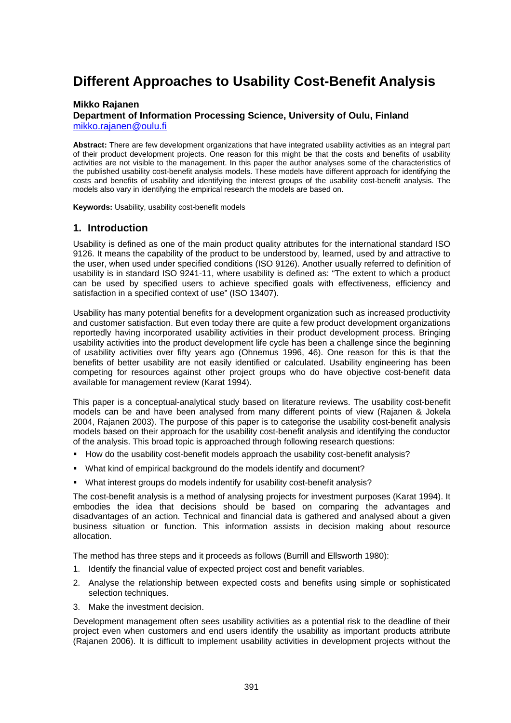# **Different Approaches to Usability Cost-Benefit Analysis**

#### **Mikko Rajanen**

#### **Department of Information Processing Science, University of Oulu, Finland**  [mikko.rajanen@oulu.fi](mailto:mikko.rajanen@oulu.fi)

**Abstract:** There are few development organizations that have integrated usability activities as an integral part of their product development projects. One reason for this might be that the costs and benefits of usability activities are not visible to the management. In this paper the author analyses some of the characteristics of the published usability cost-benefit analysis models. These models have different approach for identifying the costs and benefits of usability and identifying the interest groups of the usability cost-benefit analysis. The models also vary in identifying the empirical research the models are based on.

**Keywords:** Usability, usability cost-benefit models

#### **1. Introduction**

Usability is defined as one of the main product quality attributes for the international standard ISO 9126. It means the capability of the product to be understood by, learned, used by and attractive to the user, when used under specified conditions (ISO 9126). Another usually referred to definition of usability is in standard ISO 9241-11, where usability is defined as: "The extent to which a product can be used by specified users to achieve specified goals with effectiveness, efficiency and satisfaction in a specified context of use" (ISO 13407).

Usability has many potential benefits for a development organization such as increased productivity and customer satisfaction. But even today there are quite a few product development organizations reportedly having incorporated usability activities in their product development process. Bringing usability activities into the product development life cycle has been a challenge since the beginning of usability activities over fifty years ago (Ohnemus 1996, 46). One reason for this is that the benefits of better usability are not easily identified or calculated. Usability engineering has been competing for resources against other project groups who do have objective cost-benefit data available for management review (Karat 1994).

This paper is a conceptual-analytical study based on literature reviews. The usability cost-benefit models can be and have been analysed from many different points of view (Rajanen & Jokela 2004, Rajanen 2003). The purpose of this paper is to categorise the usability cost-benefit analysis models based on their approach for the usability cost-benefit analysis and identifying the conductor of the analysis. This broad topic is approached through following research questions:

- How do the usability cost-benefit models approach the usability cost-benefit analysis?
- What kind of empirical background do the models identify and document?
- What interest groups do models indentify for usability cost-benefit analysis?

The cost-benefit analysis is a method of analysing projects for investment purposes (Karat 1994). It embodies the idea that decisions should be based on comparing the advantages and disadvantages of an action. Technical and financial data is gathered and analysed about a given business situation or function. This information assists in decision making about resource allocation.

The method has three steps and it proceeds as follows (Burrill and Ellsworth 1980):

- 1. Identify the financial value of expected project cost and benefit variables.
- 2. Analyse the relationship between expected costs and benefits using simple or sophisticated selection techniques.
- 3. Make the investment decision.

Development management often sees usability activities as a potential risk to the deadline of their project even when customers and end users identify the usability as important products attribute (Rajanen 2006). It is difficult to implement usability activities in development projects without the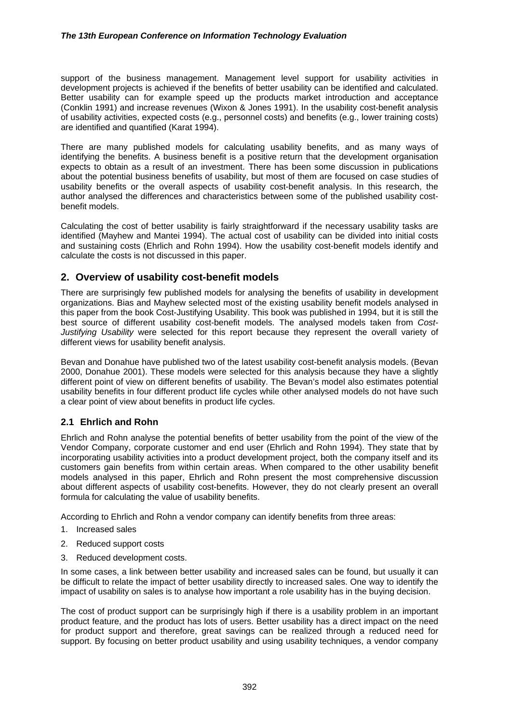#### *The 13th European Conference on Information Technology Evaluation*

support of the business management. Management level support for usability activities in development projects is achieved if the benefits of better usability can be identified and calculated. Better usability can for example speed up the products market introduction and acceptance (Conklin 1991) and increase revenues (Wixon & Jones 1991). In the usability cost-benefit analysis of usability activities, expected costs (e.g., personnel costs) and benefits (e.g., lower training costs) are identified and quantified (Karat 1994).

There are many published models for calculating usability benefits, and as many ways of identifying the benefits. A business benefit is a positive return that the development organisation expects to obtain as a result of an investment. There has been some discussion in publications about the potential business benefits of usability, but most of them are focused on case studies of usability benefits or the overall aspects of usability cost-benefit analysis. In this research, the author analysed the differences and characteristics between some of the published usability costbenefit models.

Calculating the cost of better usability is fairly straightforward if the necessary usability tasks are identified (Mayhew and Mantei 1994). The actual cost of usability can be divided into initial costs and sustaining costs (Ehrlich and Rohn 1994). How the usability cost-benefit models identify and calculate the costs is not discussed in this paper.

## **2. Overview of usability cost-benefit models**

There are surprisingly few published models for analysing the benefits of usability in development organizations. Bias and Mayhew selected most of the existing usability benefit models analysed in this paper from the book Cost-Justifying Usability. This book was published in 1994, but it is still the best source of different usability cost-benefit models. The analysed models taken from *Cost-Justifying Usability* were selected for this report because they represent the overall variety of different views for usability benefit analysis.

Bevan and Donahue have published two of the latest usability cost-benefit analysis models. (Bevan 2000, Donahue 2001). These models were selected for this analysis because they have a slightly different point of view on different benefits of usability. The Bevan's model also estimates potential usability benefits in four different product life cycles while other analysed models do not have such a clear point of view about benefits in product life cycles.

#### **2.1 Ehrlich and Rohn**

Ehrlich and Rohn analyse the potential benefits of better usability from the point of the view of the Vendor Company, corporate customer and end user (Ehrlich and Rohn 1994). They state that by incorporating usability activities into a product development project, both the company itself and its customers gain benefits from within certain areas. When compared to the other usability benefit models analysed in this paper, Ehrlich and Rohn present the most comprehensive discussion about different aspects of usability cost-benefits. However, they do not clearly present an overall formula for calculating the value of usability benefits.

According to Ehrlich and Rohn a vendor company can identify benefits from three areas:

- 1. Increased sales
- 2. Reduced support costs
- 3. Reduced development costs.

In some cases, a link between better usability and increased sales can be found, but usually it can be difficult to relate the impact of better usability directly to increased sales. One way to identify the impact of usability on sales is to analyse how important a role usability has in the buying decision.

The cost of product support can be surprisingly high if there is a usability problem in an important product feature, and the product has lots of users. Better usability has a direct impact on the need for product support and therefore, great savings can be realized through a reduced need for support. By focusing on better product usability and using usability techniques, a vendor company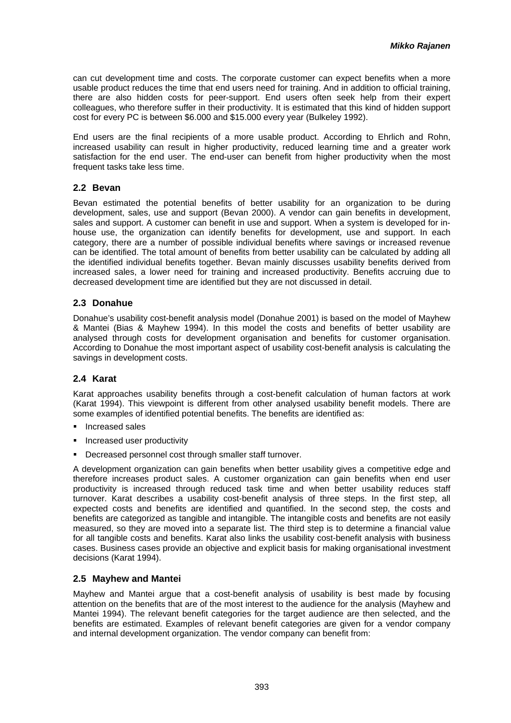can cut development time and costs. The corporate customer can expect benefits when a more usable product reduces the time that end users need for training. And in addition to official training, there are also hidden costs for peer-support. End users often seek help from their expert colleagues, who therefore suffer in their productivity. It is estimated that this kind of hidden support cost for every PC is between \$6.000 and \$15.000 every year (Bulkeley 1992).

End users are the final recipients of a more usable product. According to Ehrlich and Rohn, increased usability can result in higher productivity, reduced learning time and a greater work satisfaction for the end user. The end-user can benefit from higher productivity when the most frequent tasks take less time.

#### **2.2 Bevan**

Bevan estimated the potential benefits of better usability for an organization to be during development, sales, use and support (Bevan 2000). A vendor can gain benefits in development, sales and support. A customer can benefit in use and support. When a system is developed for inhouse use, the organization can identify benefits for development, use and support. In each category, there are a number of possible individual benefits where savings or increased revenue can be identified. The total amount of benefits from better usability can be calculated by adding all the identified individual benefits together. Bevan mainly discusses usability benefits derived from increased sales, a lower need for training and increased productivity. Benefits accruing due to decreased development time are identified but they are not discussed in detail.

#### **2.3 Donahue**

Donahue's usability cost-benefit analysis model (Donahue 2001) is based on the model of Mayhew & Mantei (Bias & Mayhew 1994). In this model the costs and benefits of better usability are analysed through costs for development organisation and benefits for customer organisation. According to Donahue the most important aspect of usability cost-benefit analysis is calculating the savings in development costs.

## **2.4 Karat**

Karat approaches usability benefits through a cost-benefit calculation of human factors at work (Karat 1994). This viewpoint is different from other analysed usability benefit models. There are some examples of identified potential benefits. The benefits are identified as:

- **Increased sales**
- **Increased user productivity**
- Decreased personnel cost through smaller staff turnover.

A development organization can gain benefits when better usability gives a competitive edge and therefore increases product sales. A customer organization can gain benefits when end user productivity is increased through reduced task time and when better usability reduces staff turnover. Karat describes a usability cost-benefit analysis of three steps. In the first step, all expected costs and benefits are identified and quantified. In the second step, the costs and benefits are categorized as tangible and intangible. The intangible costs and benefits are not easily measured, so they are moved into a separate list. The third step is to determine a financial value for all tangible costs and benefits. Karat also links the usability cost-benefit analysis with business cases. Business cases provide an objective and explicit basis for making organisational investment decisions (Karat 1994).

## **2.5 Mayhew and Mantei**

Mayhew and Mantei argue that a cost-benefit analysis of usability is best made by focusing attention on the benefits that are of the most interest to the audience for the analysis (Mayhew and Mantei 1994). The relevant benefit categories for the target audience are then selected, and the benefits are estimated. Examples of relevant benefit categories are given for a vendor company and internal development organization. The vendor company can benefit from: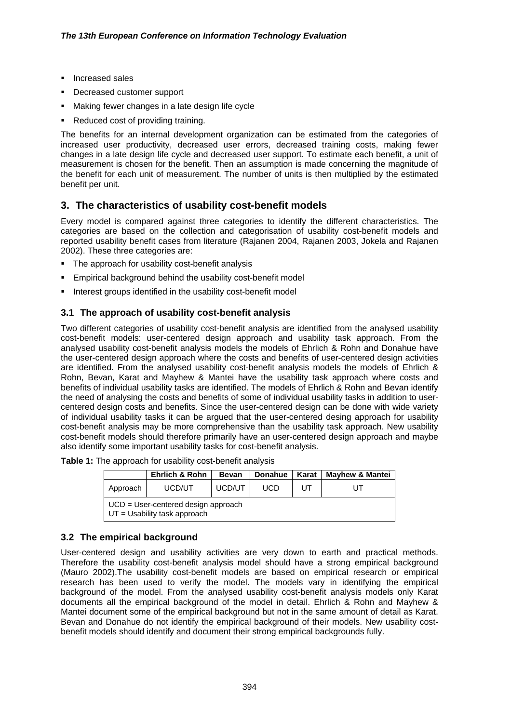- **Increased sales**
- **•** Decreased customer support
- Making fewer changes in a late design life cycle
- Reduced cost of providing training.

The benefits for an internal development organization can be estimated from the categories of increased user productivity, decreased user errors, decreased training costs, making fewer changes in a late design life cycle and decreased user support. To estimate each benefit, a unit of measurement is chosen for the benefit. Then an assumption is made concerning the magnitude of the benefit for each unit of measurement. The number of units is then multiplied by the estimated benefit per unit.

# **3. The characteristics of usability cost-benefit models**

Every model is compared against three categories to identify the different characteristics. The categories are based on the collection and categorisation of usability cost-benefit models and reported usability benefit cases from literature (Rajanen 2004, Rajanen 2003, Jokela and Rajanen 2002). These three categories are:

- The approach for usability cost-benefit analysis
- **Empirical background behind the usability cost-benefit model**
- Interest groups identified in the usability cost-benefit model

## **3.1 The approach of usability cost-benefit analysis**

Two different categories of usability cost-benefit analysis are identified from the analysed usability cost-benefit models: user-centered design approach and usability task approach. From the analysed usability cost-benefit analysis models the models of Ehrlich & Rohn and Donahue have the user-centered design approach where the costs and benefits of user-centered design activities are identified. From the analysed usability cost-benefit analysis models the models of Ehrlich & Rohn, Bevan, Karat and Mayhew & Mantei have the usability task approach where costs and benefits of individual usability tasks are identified. The models of Ehrlich & Rohn and Bevan identify the need of analysing the costs and benefits of some of individual usability tasks in addition to usercentered design costs and benefits. Since the user-centered design can be done with wide variety of individual usability tasks it can be argued that the user-centered desing approach for usability cost-benefit analysis may be more comprehensive than the usability task approach. New usability cost-benefit models should therefore primarily have an user-centered design approach and maybe also identify some important usability tasks for cost-benefit analysis.

| Table 1: The approach for usability cost-benefit analysis |
|-----------------------------------------------------------|
|-----------------------------------------------------------|

|                                                                          | <b>Ehrlich &amp; Rohn</b> | <b>Bevan</b> | <b>Donahue</b> | Karat | <b>Mayhew &amp; Mantei</b> |  |  |
|--------------------------------------------------------------------------|---------------------------|--------------|----------------|-------|----------------------------|--|--|
| Approach                                                                 | UT                        |              |                |       |                            |  |  |
| $UCD = User-centered design approach$<br>$UT = U$ sability task approach |                           |              |                |       |                            |  |  |

## **3.2 The empirical background**

User-centered design and usability activities are very down to earth and practical methods. Therefore the usability cost-benefit analysis model should have a strong empirical background (Mauro 2002).The usability cost-benefit models are based on empirical research or empirical research has been used to verify the model. The models vary in identifying the empirical background of the model. From the analysed usability cost-benefit analysis models only Karat documents all the empirical background of the model in detail. Ehrlich & Rohn and Mayhew & Mantei document some of the empirical background but not in the same amount of detail as Karat. Bevan and Donahue do not identify the empirical background of their models. New usability costbenefit models should identify and document their strong empirical backgrounds fully.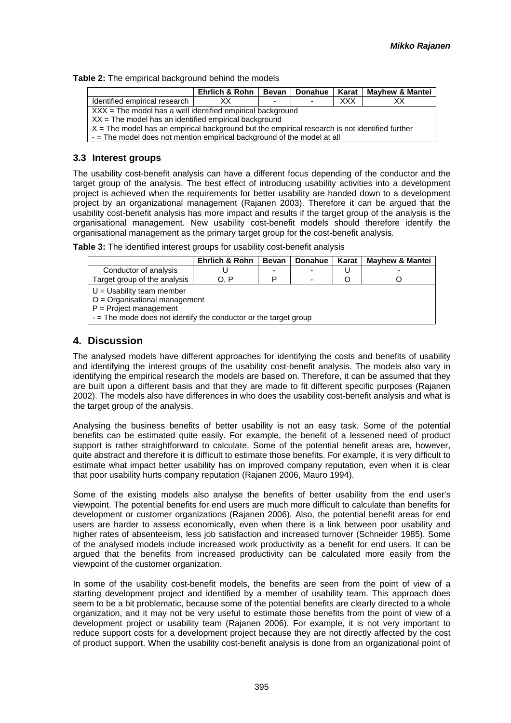**Table 2:** The empirical background behind the models

| <b>Ehrlich &amp; Rohn</b><br>Donahue<br>Karat<br><b>Mayhew &amp; Mantei</b><br>Bevan             |  |  |  |  |  |  |  |
|--------------------------------------------------------------------------------------------------|--|--|--|--|--|--|--|
| <b>XXX</b><br>Identified empirical research<br>xх<br>XX.<br>$\overline{\phantom{0}}$<br>-        |  |  |  |  |  |  |  |
| $XXX =$ The model has a well identified empirical background                                     |  |  |  |  |  |  |  |
| $XX$ = The model has an identified empirical background                                          |  |  |  |  |  |  |  |
| $X =$ The model has an empirical background but the empirical research is not identified further |  |  |  |  |  |  |  |
| - The model does not mention empirical background of the model at all                            |  |  |  |  |  |  |  |
|                                                                                                  |  |  |  |  |  |  |  |

#### **3.3 Interest groups**

The usability cost-benefit analysis can have a different focus depending of the conductor and the target group of the analysis. The best effect of introducing usability activities into a development project is achieved when the requirements for better usability are handed down to a development project by an organizational management (Rajanen 2003). Therefore it can be argued that the usability cost-benefit analysis has more impact and results if the target group of the analysis is the organisational management. New usability cost-benefit models should therefore identify the organisational management as the primary target group for the cost-benefit analysis.

|  | Table 3: The identified interest groups for usability cost-benefit analysis |
|--|-----------------------------------------------------------------------------|
|--|-----------------------------------------------------------------------------|

| Ehrlich & Rohn<br>Karat I<br><b>Mayhew &amp; Mantei</b><br>Donahue<br><b>Bevan</b>                                                                                |  |  |  |  |  |  |  |
|-------------------------------------------------------------------------------------------------------------------------------------------------------------------|--|--|--|--|--|--|--|
| Conductor of analysis                                                                                                                                             |  |  |  |  |  |  |  |
| Target group of the analysis<br>O. P                                                                                                                              |  |  |  |  |  |  |  |
| $U = U$ sability team member<br>$O =$ Organisational management<br>$P = Project management$<br>$-$ = The mode does not identify the conductor or the target group |  |  |  |  |  |  |  |

## **4. Discussion**

The analysed models have different approaches for identifying the costs and benefits of usability and identifying the interest groups of the usability cost-benefit analysis. The models also vary in identifying the empirical research the models are based on. Therefore, it can be assumed that they are built upon a different basis and that they are made to fit different specific purposes (Rajanen 2002). The models also have differences in who does the usability cost-benefit analysis and what is the target group of the analysis.

Analysing the business benefits of better usability is not an easy task. Some of the potential benefits can be estimated quite easily. For example, the benefit of a lessened need of product support is rather straightforward to calculate. Some of the potential benefit areas are, however, quite abstract and therefore it is difficult to estimate those benefits. For example, it is very difficult to estimate what impact better usability has on improved company reputation, even when it is clear that poor usability hurts company reputation (Rajanen 2006, Mauro 1994).

Some of the existing models also analyse the benefits of better usability from the end user's viewpoint. The potential benefits for end users are much more difficult to calculate than benefits for development or customer organizations (Rajanen 2006). Also, the potential benefit areas for end users are harder to assess economically, even when there is a link between poor usability and higher rates of absenteeism, less job satisfaction and increased turnover (Schneider 1985). Some of the analysed models include increased work productivity as a benefit for end users. It can be argued that the benefits from increased productivity can be calculated more easily from the viewpoint of the customer organization.

In some of the usability cost-benefit models, the benefits are seen from the point of view of a starting development project and identified by a member of usability team. This approach does seem to be a bit problematic, because some of the potential benefits are clearly directed to a whole organization, and it may not be very useful to estimate those benefits from the point of view of a development project or usability team (Rajanen 2006). For example, it is not very important to reduce support costs for a development project because they are not directly affected by the cost of product support. When the usability cost-benefit analysis is done from an organizational point of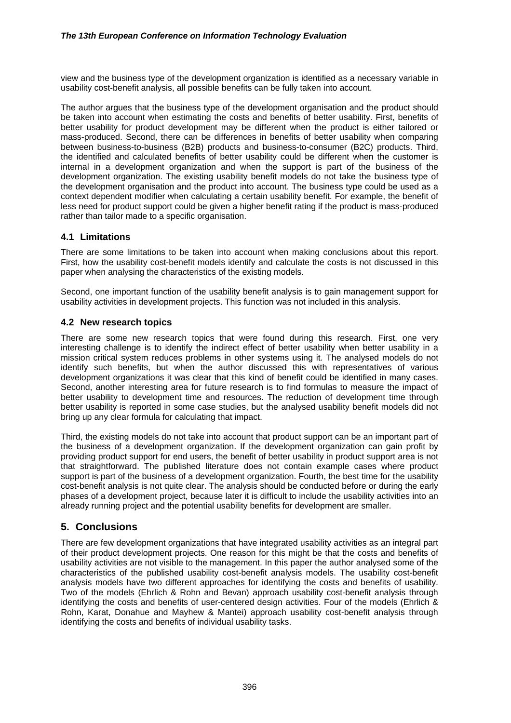view and the business type of the development organization is identified as a necessary variable in usability cost-benefit analysis, all possible benefits can be fully taken into account.

The author argues that the business type of the development organisation and the product should be taken into account when estimating the costs and benefits of better usability. First, benefits of better usability for product development may be different when the product is either tailored or mass-produced. Second, there can be differences in benefits of better usability when comparing between business-to-business (B2B) products and business-to-consumer (B2C) products. Third, the identified and calculated benefits of better usability could be different when the customer is internal in a development organization and when the support is part of the business of the development organization. The existing usability benefit models do not take the business type of the development organisation and the product into account. The business type could be used as a context dependent modifier when calculating a certain usability benefit. For example, the benefit of less need for product support could be given a higher benefit rating if the product is mass-produced rather than tailor made to a specific organisation.

## **4.1 Limitations**

There are some limitations to be taken into account when making conclusions about this report. First, how the usability cost-benefit models identify and calculate the costs is not discussed in this paper when analysing the characteristics of the existing models.

Second, one important function of the usability benefit analysis is to gain management support for usability activities in development projects. This function was not included in this analysis.

#### **4.2 New research topics**

There are some new research topics that were found during this research. First, one very interesting challenge is to identify the indirect effect of better usability when better usability in a mission critical system reduces problems in other systems using it. The analysed models do not identify such benefits, but when the author discussed this with representatives of various development organizations it was clear that this kind of benefit could be identified in many cases. Second, another interesting area for future research is to find formulas to measure the impact of better usability to development time and resources. The reduction of development time through better usability is reported in some case studies, but the analysed usability benefit models did not bring up any clear formula for calculating that impact.

Third, the existing models do not take into account that product support can be an important part of the business of a development organization. If the development organization can gain profit by providing product support for end users, the benefit of better usability in product support area is not that straightforward. The published literature does not contain example cases where product support is part of the business of a development organization. Fourth, the best time for the usability cost-benefit analysis is not quite clear. The analysis should be conducted before or during the early phases of a development project, because later it is difficult to include the usability activities into an already running project and the potential usability benefits for development are smaller.

# **5. Conclusions**

There are few development organizations that have integrated usability activities as an integral part of their product development projects. One reason for this might be that the costs and benefits of usability activities are not visible to the management. In this paper the author analysed some of the characteristics of the published usability cost-benefit analysis models. The usability cost-benefit analysis models have two different approaches for identifying the costs and benefits of usability. Two of the models (Ehrlich & Rohn and Bevan) approach usability cost-benefit analysis through identifying the costs and benefits of user-centered design activities. Four of the models (Ehrlich & Rohn, Karat, Donahue and Mayhew & Mantei) approach usability cost-benefit analysis through identifying the costs and benefits of individual usability tasks.